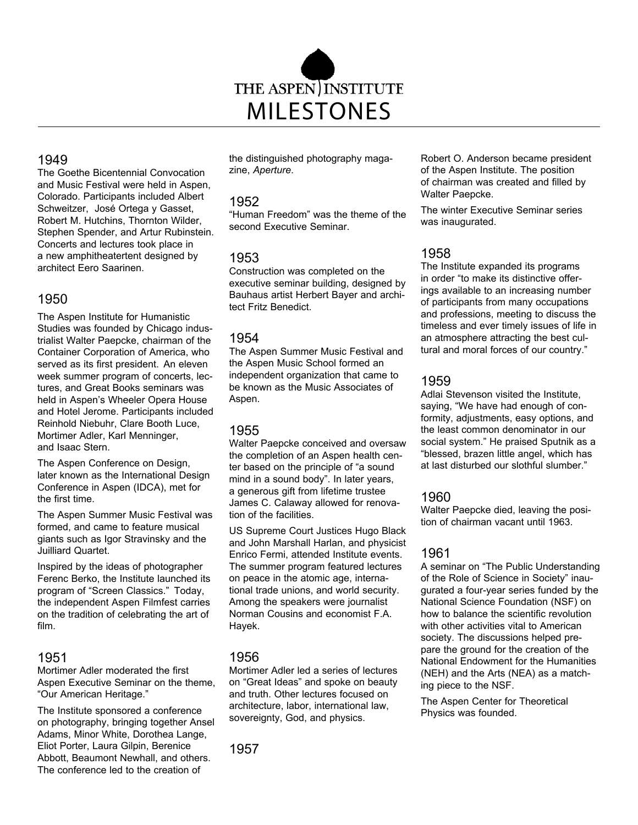

### 1949

The Goethe Bicentennial Convocation and Music Festival were held in Aspen, Colorado. Participants included Albert Schweitzer, José Ortega y Gasset, Robert M. Hutchins, Thornton Wilder, Stephen Spender, and Artur Rubinstein. Concerts and lectures took place in a new amphitheatertent designed by architect Eero Saarinen.

# 1950

The Aspen Institute for Humanistic Studies was founded by Chicago industrialist Walter Paepcke, chairman of the Container Corporation of America, who served as its first president. An eleven week summer program of concerts, lectures, and Great Books seminars was held in Aspen's Wheeler Opera House and Hotel Jerome. Participants included Reinhold Niebuhr, Clare Booth Luce, Mortimer Adler, Karl Menninger, and Isaac Stern.

The Aspen Conference on Design, later known as the International Design Conference in Aspen (IDCA), met for the first time.

The Aspen Summer Music Festival was formed, and came to feature musical giants such as Igor Stravinsky and the Juilliard Quartet.

Inspired by the ideas of photographer Ferenc Berko, the Institute launched its program of "Screen Classics." Today, the independent Aspen Filmfest carries on the tradition of celebrating the art of film.

## 1951

Mortimer Adler moderated the first Aspen Executive Seminar on the theme, "Our American Heritage."

The Institute sponsored a conference on photography, bringing together Ansel Adams, Minor White, Dorothea Lange, Eliot Porter, Laura Gilpin, Berenice Abbott, Beaumont Newhall, and others. The conference led to the creation of

the distinguished photography magazine, *Aperture*.

### 1952

"Human Freedom" was the theme of the second Executive Seminar.

## 1953

Construction was completed on the executive seminar building, designed by Bauhaus artist Herbert Bayer and architect Fritz Benedict.

### 1954

The Aspen Summer Music Festival and the Aspen Music School formed an independent organization that came to be known as the Music Associates of Aspen.

## 1955

Walter Paepcke conceived and oversaw the completion of an Aspen health center based on the principle of "a sound mind in a sound body". In later years, a generous gift from lifetime trustee James C. Calaway allowed for renovation of the facilities.

US Supreme Court Justices Hugo Black and John Marshall Harlan, and physicist Enrico Fermi, attended Institute events. The summer program featured lectures on peace in the atomic age, international trade unions, and world security. Among the speakers were journalist Norman Cousins and economist F.A. Hayek.

## 1956

Mortimer Adler led a series of lectures on "Great Ideas" and spoke on beauty and truth. Other lectures focused on architecture, labor, international law, sovereignty, God, and physics.

1957

Robert O. Anderson became president of the Aspen Institute. The position of chairman was created and filled by Walter Paepcke.

The winter Executive Seminar series was inaugurated.

# 1958

The Institute expanded its programs in order "to make its distinctive offerings available to an increasing number of participants from many occupations and professions, meeting to discuss the timeless and ever timely issues of life in an atmosphere attracting the best cultural and moral forces of our country."

## 1959

Adlai Stevenson visited the Institute, saying, "We have had enough of conformity, adjustments, easy options, and the least common denominator in our social system." He praised Sputnik as a "blessed, brazen little angel, which has at last disturbed our slothful slumber."

## 1960

Walter Paepcke died, leaving the position of chairman vacant until 1963.

# 1961

A seminar on "The Public Understanding of the Role of Science in Society" inaugurated a four-year series funded by the National Science Foundation (NSF) on how to balance the scientific revolution with other activities vital to American society. The discussions helped prepare the ground for the creation of the National Endowment for the Humanities (NEH) and the Arts (NEA) as a matching piece to the NSF.

The Aspen Center for Theoretical Physics was founded.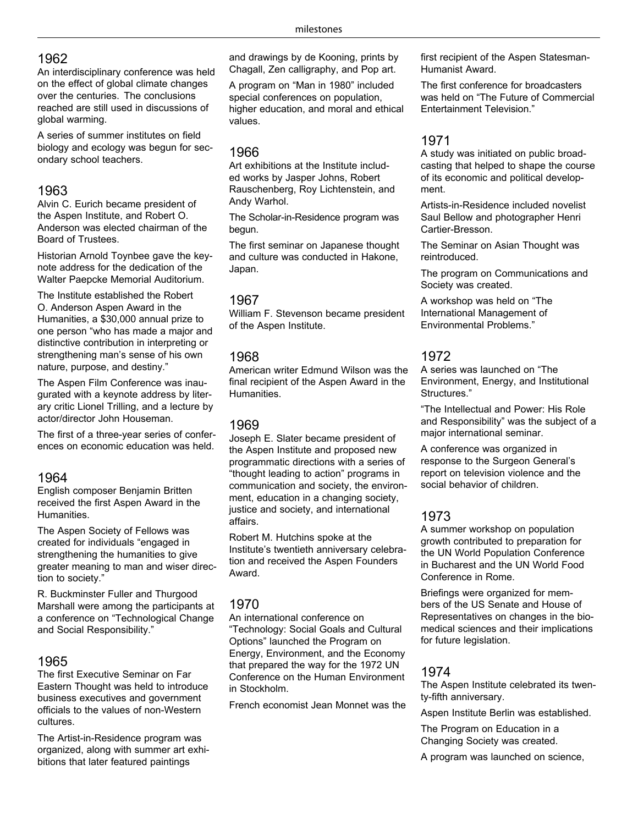# 1962

An interdisciplinary conference was held on the effect of global climate changes over the centuries. The conclusions reached are still used in discussions of global warming.

A series of summer institutes on field biology and ecology was begun for secondary school teachers.

# 1963

Alvin C. Eurich became president of the Aspen Institute, and Robert O. Anderson was elected chairman of the Board of Trustees.

Historian Arnold Toynbee gave the keynote address for the dedication of the Walter Paepcke Memorial Auditorium.

The Institute established the Robert O. Anderson Aspen Award in the Humanities, a \$30,000 annual prize to one person "who has made a major and distinctive contribution in interpreting or strengthening man's sense of his own nature, purpose, and destiny."

The Aspen Film Conference was inaugurated with a keynote address by literary critic Lionel Trilling, and a lecture by actor/director John Houseman.

The first of a three-year series of conferences on economic education was held.

## 1964

English composer Benjamin Britten received the first Aspen Award in the Humanities.

The Aspen Society of Fellows was created for individuals "engaged in strengthening the humanities to give greater meaning to man and wiser direction to society."

R. Buckminster Fuller and Thurgood Marshall were among the participants at a conference on "Technological Change and Social Responsibility."

# 1965

The first Executive Seminar on Far Eastern Thought was held to introduce business executives and government officials to the values of non-Western cultures.

The Artist-in-Residence program was organized, along with summer art exhibitions that later featured paintings

and drawings by de Kooning, prints by Chagall, Zen calligraphy, and Pop art.

A program on "Man in 1980" included special conferences on population, higher education, and moral and ethical values.

### 1966

Art exhibitions at the Institute included works by Jasper Johns, Robert Rauschenberg, Roy Lichtenstein, and Andy Warhol.

The Scholar-in-Residence program was begun.

The first seminar on Japanese thought and culture was conducted in Hakone, Japan.

## 1967

William F. Stevenson became president of the Aspen Institute.

## 1968

American writer Edmund Wilson was the final recipient of the Aspen Award in the Humanities.

# 1969

Joseph E. Slater became president of the Aspen Institute and proposed new programmatic directions with a series of "thought leading to action" programs in communication and society, the environment, education in a changing society, justice and society, and international affairs.

Robert M. Hutchins spoke at the Institute's twentieth anniversary celebration and received the Aspen Founders Award.

# 1970

An international conference on "Technology: Social Goals and Cultural Options" launched the Program on Energy, Environment, and the Economy that prepared the way for the 1972 UN Conference on the Human Environment in Stockholm.

French economist Jean Monnet was the

first recipient of the Aspen Statesman-Humanist Award.

The first conference for broadcasters was held on "The Future of Commercial Entertainment Television."

## 1971

A study was initiated on public broadcasting that helped to shape the course of its economic and political development.

Artists-in-Residence included novelist Saul Bellow and photographer Henri Cartier-Bresson.

The Seminar on Asian Thought was reintroduced.

The program on Communications and Society was created.

A workshop was held on "The International Management of Environmental Problems."

# 1972

A series was launched on "The Environment, Energy, and Institutional Structures."

"The Intellectual and Power: His Role and Responsibility" was the subject of a major international seminar.

A conference was organized in response to the Surgeon General's report on television violence and the social behavior of children.

# 1973

A summer workshop on population growth contributed to preparation for the UN World Population Conference in Bucharest and the UN World Food Conference in Rome.

Briefings were organized for members of the US Senate and House of Representatives on changes in the biomedical sciences and their implications for future legislation.

# 1974

The Aspen Institute celebrated its twenty-fifth anniversary.

Aspen Institute Berlin was established.

The Program on Education in a Changing Society was created.

A program was launched on science,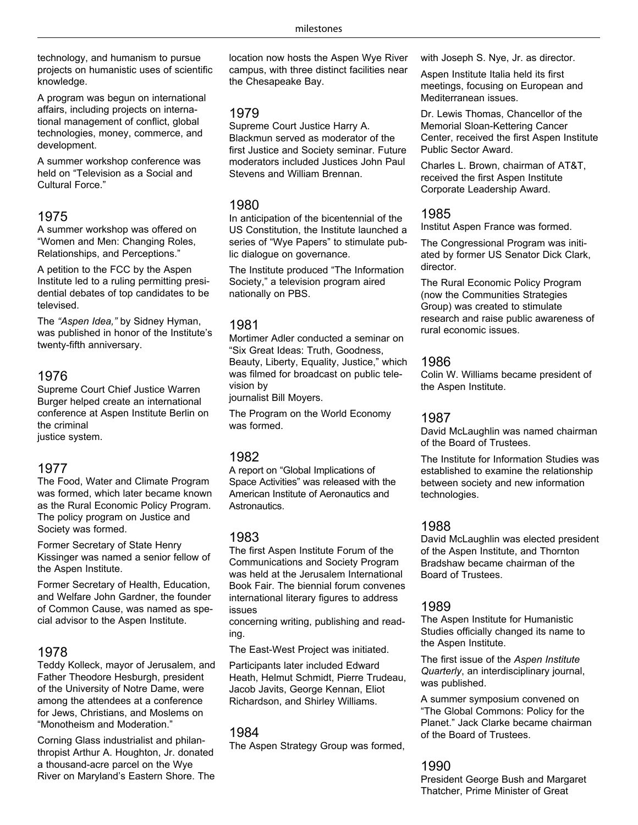technology, and humanism to pursue projects on humanistic uses of scientific knowledge.

A program was begun on international affairs, including projects on international management of conflict, global technologies, money, commerce, and development.

A summer workshop conference was held on "Television as a Social and Cultural Force."

## 1975

A summer workshop was offered on "Women and Men: Changing Roles, Relationships, and Perceptions."

A petition to the FCC by the Aspen Institute led to a ruling permitting presidential debates of top candidates to be televised.

The *"Aspen Idea,"* by Sidney Hyman, was published in honor of the Institute's twenty-fifth anniversary.

### 1976

Supreme Court Chief Justice Warren Burger helped create an international conference at Aspen Institute Berlin on the criminal

justice system.

### 1977

The Food, Water and Climate Program was formed, which later became known as the Rural Economic Policy Program. The policy program on Justice and Society was formed.

Former Secretary of State Henry Kissinger was named a senior fellow of the Aspen Institute.

Former Secretary of Health, Education, and Welfare John Gardner, the founder of Common Cause, was named as special advisor to the Aspen Institute.

### 1978

Teddy Kolleck, mayor of Jerusalem, and Father Theodore Hesburgh, president of the University of Notre Dame, were among the attendees at a conference for Jews, Christians, and Moslems on "Monotheism and Moderation."

Corning Glass industrialist and philanthropist Arthur A. Houghton, Jr. donated a thousand-acre parcel on the Wye River on Maryland's Eastern Shore. The location now hosts the Aspen Wye River campus, with three distinct facilities near the Chesapeake Bay.

## 1979

Supreme Court Justice Harry A. Blackmun served as moderator of the first Justice and Society seminar. Future moderators included Justices John Paul Stevens and William Brennan.

### 1980

In anticipation of the bicentennial of the US Constitution, the Institute launched a series of "Wye Papers" to stimulate public dialogue on governance.

The Institute produced "The Information Society," a television program aired nationally on PBS.

### 1981

Mortimer Adler conducted a seminar on "Six Great Ideas: Truth, Goodness, Beauty, Liberty, Equality, Justice," which was filmed for broadcast on public television by

journalist Bill Moyers.

The Program on the World Economy was formed.

# 1982

A report on "Global Implications of Space Activities" was released with the American Institute of Aeronautics and Astronautics.

## 1983

The first Aspen Institute Forum of the Communications and Society Program was held at the Jerusalem International Book Fair. The biennial forum convenes international literary figures to address issues

concerning writing, publishing and reading.

The East-West Project was initiated.

Participants later included Edward Heath, Helmut Schmidt, Pierre Trudeau, Jacob Javits, George Kennan, Eliot Richardson, and Shirley Williams.

## 1984

The Aspen Strategy Group was formed,

with Joseph S. Nye, Jr. as director.

Aspen Institute Italia held its first meetings, focusing on European and Mediterranean issues.

Dr. Lewis Thomas, Chancellor of the Memorial Sloan-Kettering Cancer Center, received the first Aspen Institute Public Sector Award.

Charles L. Brown, chairman of AT&T, received the first Aspen Institute Corporate Leadership Award.

## 1985

Institut Aspen France was formed.

The Congressional Program was initiated by former US Senator Dick Clark, director.

The Rural Economic Policy Program (now the Communities Strategies Group) was created to stimulate research and raise public awareness of rural economic issues.

### 1986

Colin W. Williams became president of the Aspen Institute.

## 1987

David McLaughlin was named chairman of the Board of Trustees.

The Institute for Information Studies was established to examine the relationship between society and new information technologies.

## 1988

David McLaughlin was elected president of the Aspen Institute, and Thornton Bradshaw became chairman of the Board of Trustees.

## 1989

The Aspen Institute for Humanistic Studies officially changed its name to the Aspen Institute.

The first issue of the *Aspen Institute Quarterly*, an interdisciplinary journal, was published.

A summer symposium convened on "The Global Commons: Policy for the Planet." Jack Clarke became chairman of the Board of Trustees.

# 1990

President George Bush and Margaret Thatcher, Prime Minister of Great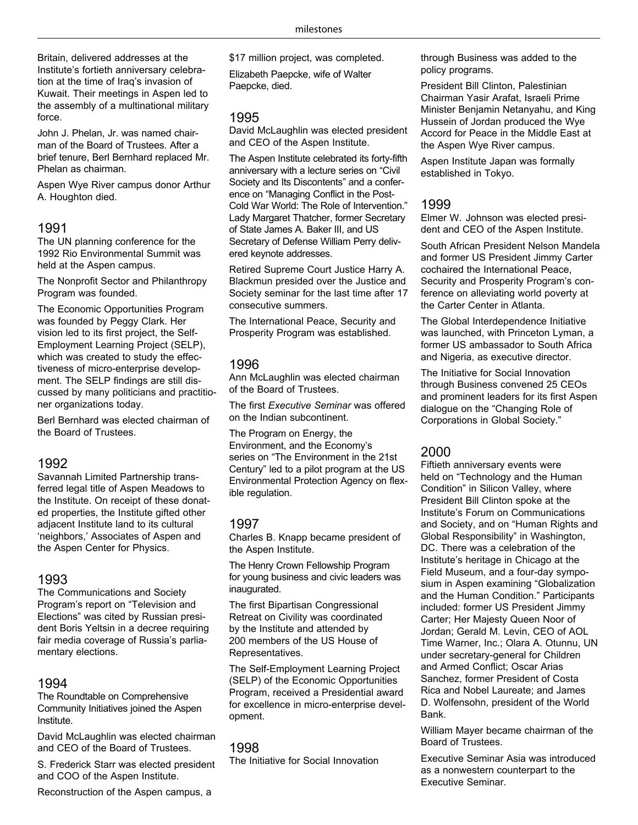Britain, delivered addresses at the Institute's fortieth anniversary celebration at the time of Iraq's invasion of Kuwait. Their meetings in Aspen led to the assembly of a multinational military force.

John J. Phelan, Jr. was named chairman of the Board of Trustees. After a brief tenure, Berl Bernhard replaced Mr. Phelan as chairman.

Aspen Wye River campus donor Arthur A. Houghton died.

#### 1991

The UN planning conference for the 1992 Rio Environmental Summit was held at the Aspen campus.

The Nonprofit Sector and Philanthropy Program was founded.

The Economic Opportunities Program was founded by Peggy Clark. Her vision led to its first project, the Self-Employment Learning Project (SELP), which was created to study the effectiveness of micro-enterprise development. The SELP findings are still discussed by many politicians and practitioner organizations today.

Berl Bernhard was elected chairman of the Board of Trustees.

### 1992

Savannah Limited Partnership transferred legal title of Aspen Meadows to the Institute. On receipt of these donated properties, the Institute gifted other adjacent Institute land to its cultural 'neighbors,' Associates of Aspen and the Aspen Center for Physics.

#### 1993

The Communications and Society Program's report on "Television and Elections" was cited by Russian president Boris Yeltsin in a decree requiring fair media coverage of Russia's parliamentary elections.

#### 1994

The Roundtable on Comprehensive Community Initiatives joined the Aspen Institute.

David McLaughlin was elected chairman and CEO of the Board of Trustees.

S. Frederick Starr was elected president and COO of the Aspen Institute.

\$17 million project, was completed. Elizabeth Paepcke, wife of Walter Paepcke, died.

#### 1995

David McLaughlin was elected president and CEO of the Aspen Institute.

The Aspen Institute celebrated its forty-fifth anniversary with a lecture series on "Civil Society and Its Discontents" and a conference on "Managing Conflict in the Post-Cold War World: The Role of Intervention." Lady Margaret Thatcher, former Secretary of State James A. Baker III, and US Secretary of Defense William Perry delivered keynote addresses.

Retired Supreme Court Justice Harry A. Blackmun presided over the Justice and Society seminar for the last time after 17 consecutive summers.

The International Peace, Security and Prosperity Program was established.

### 1996

Ann McLaughlin was elected chairman of the Board of Trustees.

The first *Executive Seminar* was offered on the Indian subcontinent.

The Program on Energy, the Environment, and the Economy's series on "The Environment in the 21st Century" led to a pilot program at the US Environmental Protection Agency on flexible regulation.

### 1997

Charles B. Knapp became president of the Aspen Institute.

The Henry Crown Fellowship Program for young business and civic leaders was inaugurated.

The first Bipartisan Congressional Retreat on Civility was coordinated by the Institute and attended by 200 members of the US House of Representatives.

The Self-Employment Learning Project (SELP) of the Economic Opportunities Program, received a Presidential award for excellence in micro-enterprise development.

### 1998

The Initiative for Social Innovation

through Business was added to the policy programs.

President Bill Clinton, Palestinian Chairman Yasir Arafat, Israeli Prime Minister Benjamin Netanyahu, and King Hussein of Jordan produced the Wye Accord for Peace in the Middle East at the Aspen Wye River campus.

Aspen Institute Japan was formally established in Tokyo.

### 1999

Elmer W. Johnson was elected president and CEO of the Aspen Institute.

South African President Nelson Mandela and former US President Jimmy Carter cochaired the International Peace, Security and Prosperity Program's conference on alleviating world poverty at the Carter Center in Atlanta.

The Global Interdependence Initiative was launched, with Princeton Lyman, a former US ambassador to South Africa and Nigeria, as executive director.

The Initiative for Social Innovation through Business convened 25 CEOs and prominent leaders for its first Aspen dialogue on the "Changing Role of Corporations in Global Society."

## 2000

Fiftieth anniversary events were held on "Technology and the Human Condition" in Silicon Valley, where President Bill Clinton spoke at the Institute's Forum on Communications and Society, and on "Human Rights and Global Responsibility" in Washington, DC. There was a celebration of the Institute's heritage in Chicago at the Field Museum, and a four-day symposium in Aspen examining "Globalization and the Human Condition." Participants included: former US President Jimmy Carter; Her Majesty Queen Noor of Jordan; Gerald M. Levin, CEO of AOL Time Warner, Inc.; Olara A. Otunnu, UN under secretary-general for Children and Armed Conflict; Oscar Arias Sanchez, former President of Costa Rica and Nobel Laureate; and James D. Wolfensohn, president of the World Bank.

William Mayer became chairman of the Board of Trustees.

Executive Seminar Asia was introduced as a nonwestern counterpart to the Executive Seminar.

Reconstruction of the Aspen campus, a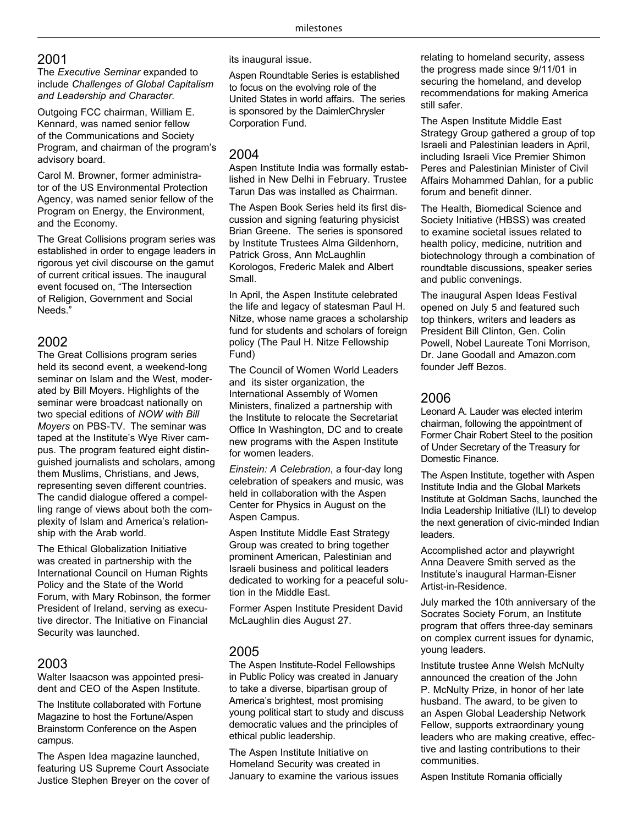## 2001

The *Executive Seminar* expanded to include *Challenges of Global Capitalism and Leadership and Character.*

Outgoing FCC chairman, William E. Kennard, was named senior fellow of the Communications and Society Program, and chairman of the program's advisory board.

Carol M. Browner, former administrator of the US Environmental Protection Agency, was named senior fellow of the Program on Energy, the Environment, and the Economy.

The Great Collisions program series was established in order to engage leaders in rigorous yet civil discourse on the gamut of current critical issues. The inaugural event focused on, "The Intersection of Religion, Government and Social Needs."

# 2002

The Great Collisions program series held its second event, a weekend-long seminar on Islam and the West, moderated by Bill Moyers. Highlights of the seminar were broadcast nationally on two special editions of *NOW with Bill Moyers* on PBS-TV. The seminar was taped at the Institute's Wye River campus. The program featured eight distinguished journalists and scholars, among them Muslims, Christians, and Jews, representing seven different countries. The candid dialogue offered a compelling range of views about both the complexity of Islam and America's relationship with the Arab world.

The Ethical Globalization Initiative was created in partnership with the International Council on Human Rights Policy and the State of the World Forum, with Mary Robinson, the former President of Ireland, serving as executive director. The Initiative on Financial Security was launched.

### 2003

Walter Isaacson was appointed president and CEO of the Aspen Institute.

The Institute collaborated with Fortune Magazine to host the Fortune/Aspen Brainstorm Conference on the Aspen campus.

The Aspen Idea magazine launched, featuring US Supreme Court Associate Justice Stephen Breyer on the cover of its inaugural issue.

Aspen Roundtable Series is established to focus on the evolving role of the United States in world affairs. The series is sponsored by the DaimlerChrysler Corporation Fund.

### 2004

Aspen Institute India was formally established in New Delhi in February. Trustee Tarun Das was installed as Chairman.

The Aspen Book Series held its first discussion and signing featuring physicist Brian Greene. The series is sponsored by Institute Trustees Alma Gildenhorn, Patrick Gross, Ann McLaughlin Korologos, Frederic Malek and Albert Small.

In April, the Aspen Institute celebrated the life and legacy of statesman Paul H. Nitze, whose name graces a scholarship fund for students and scholars of foreign policy (The Paul H. Nitze Fellowship Fund)

The Council of Women World Leaders and its sister organization, the International Assembly of Women Ministers, finalized a partnership with the Institute to relocate the Secretariat Office In Washington, DC and to create new programs with the Aspen Institute for women leaders.

*Einstein: A Celebration*, a four-day long celebration of speakers and music, was held in collaboration with the Aspen Center for Physics in August on the Aspen Campus.

Aspen Institute Middle East Strategy Group was created to bring together prominent American, Palestinian and Israeli business and political leaders dedicated to working for a peaceful solution in the Middle East.

Former Aspen Institute President David McLaughlin dies August 27.

## 2005

The Aspen Institute-Rodel Fellowships in Public Policy was created in January to take a diverse, bipartisan group of America's brightest, most promising young political start to study and discuss democratic values and the principles of ethical public leadership.

The Aspen Institute Initiative on Homeland Security was created in January to examine the various issues relating to homeland security, assess the progress made since 9/11/01 in securing the homeland, and develop recommendations for making America still safer.

The Aspen Institute Middle East Strategy Group gathered a group of top Israeli and Palestinian leaders in April, including Israeli Vice Premier Shimon Peres and Palestinian Minister of Civil Affairs Mohammed Dahlan, for a public forum and benefit dinner.

The Health, Biomedical Science and Society Initiative (HBSS) was created to examine societal issues related to health policy, medicine, nutrition and biotechnology through a combination of roundtable discussions, speaker series and public convenings.

The inaugural Aspen Ideas Festival opened on July 5 and featured such top thinkers, writers and leaders as President Bill Clinton, Gen. Colin Powell, Nobel Laureate Toni Morrison, Dr. Jane Goodall and Amazon.com founder Jeff Bezos.

### 2006

Leonard A. Lauder was elected interim chairman, following the appointment of Former Chair Robert Steel to the position of Under Secretary of the Treasury for Domestic Finance.

The Aspen Institute, together with Aspen Institute India and the Global Markets Institute at Goldman Sachs, launched the India Leadership Initiative (ILI) to develop the next generation of civic-minded Indian leaders.

Accomplished actor and playwright Anna Deavere Smith served as the Institute's inaugural Harman-Eisner Artist-in-Residence.

July marked the 10th anniversary of the Socrates Society Forum, an Institute program that offers three-day seminars on complex current issues for dynamic, young leaders.

Institute trustee Anne Welsh McNulty announced the creation of the John P. McNulty Prize, in honor of her late husband. The award, to be given to an Aspen Global Leadership Network Fellow, supports extraordinary young leaders who are making creative, effective and lasting contributions to their communities.

Aspen Institute Romania officially